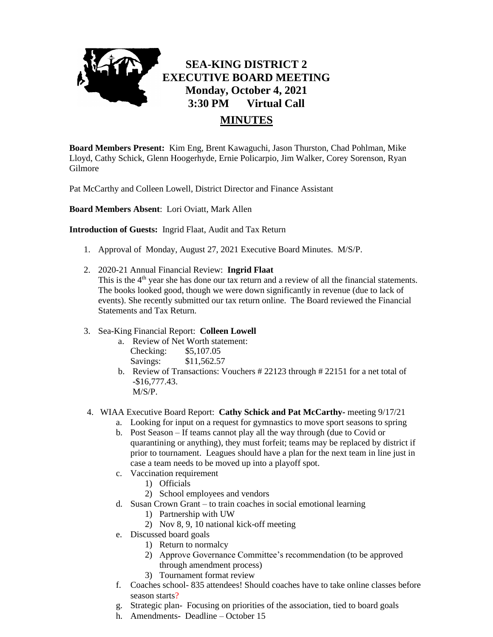

**Board Members Present:** Kim Eng, Brent Kawaguchi, Jason Thurston, Chad Pohlman, Mike Lloyd, Cathy Schick, Glenn Hoogerhyde, Ernie Policarpio, Jim Walker, Corey Sorenson, Ryan Gilmore

Pat McCarthy and Colleen Lowell, District Director and Finance Assistant

**Board Members Absent**: Lori Oviatt, Mark Allen

**Introduction of Guests:** Ingrid Flaat, Audit and Tax Return

- 1. Approval of Monday, August 27, 2021 Executive Board Minutes. M/S/P.
- 2. 2020-21 Annual Financial Review: **Ingrid Flaat** This is the  $4<sup>th</sup>$  year she has done our tax return and a review of all the financial statements. The books looked good, though we were down significantly in revenue (due to lack of events). She recently submitted our tax return online. The Board reviewed the Financial Statements and Tax Return.

## 3. Sea-King Financial Report: **Colleen Lowell**

- a. Review of Net Worth statement: Checking: \$5,107.05 Savings: \$11,562.57
- b. Review of Transactions: Vouchers # 22123 through # 22151 for a net total of -\$16,777.43. M/S/P.
- 4. WIAA Executive Board Report: **Cathy Schick and Pat McCarthy-** meeting 9/17/21
	- a. Looking for input on a request for gymnastics to move sport seasons to spring
	- b. Post Season If teams cannot play all the way through (due to Covid or quarantining or anything), they must forfeit; teams may be replaced by district if prior to tournament. Leagues should have a plan for the next team in line just in case a team needs to be moved up into a playoff spot.
	- c. Vaccination requirement
		- 1) Officials
		- 2) School employees and vendors
	- d. Susan Crown Grant to train coaches in social emotional learning
		- 1) Partnership with UW
		- 2) Nov 8, 9, 10 national kick-off meeting
	- e. Discussed board goals
		- 1) Return to normalcy
		- 2) Approve Governance Committee's recommendation (to be approved through amendment process)
		- 3) Tournament format review
	- f. Coaches school- 835 attendees! Should coaches have to take online classes before season starts?
	- g. Strategic plan- Focusing on priorities of the association, tied to board goals
	- h. Amendments- Deadline October 15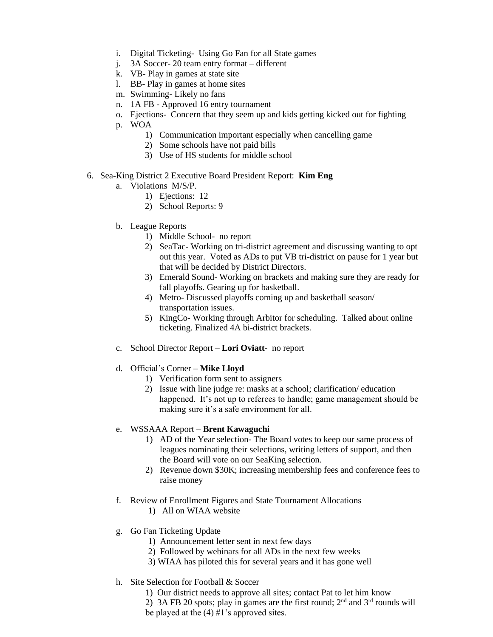- i. Digital Ticketing- Using Go Fan for all State games
- j. 3A Soccer- 20 team entry format different
- k. VB- Play in games at state site
- l. BB- Play in games at home sites
- m. Swimming- Likely no fans
- n. 1A FB Approved 16 entry tournament
- o. Ejections- Concern that they seem up and kids getting kicked out for fighting
- p. WOA
	- 1) Communication important especially when cancelling game
	- 2) Some schools have not paid bills
	- 3) Use of HS students for middle school
- 6. Sea-King District 2 Executive Board President Report: **Kim Eng**
	- a. Violations M/S/P.
		- 1) Ejections: 12
		- 2) School Reports: 9
	- b. League Reports
		- 1) Middle School- no report
		- 2) SeaTac- Working on tri-district agreement and discussing wanting to opt out this year. Voted as ADs to put VB tri-district on pause for 1 year but that will be decided by District Directors.
		- 3) Emerald Sound- Working on brackets and making sure they are ready for fall playoffs. Gearing up for basketball.
		- 4) Metro- Discussed playoffs coming up and basketball season/ transportation issues.
		- 5) KingCo- Working through Arbitor for scheduling. Talked about online ticketing. Finalized 4A bi-district brackets.
	- c. School Director Report **Lori Oviatt** no report
	- d. Official's Corner **Mike Lloyd**
		- 1) Verification form sent to assigners
		- 2) Issue with line judge re: masks at a school; clarification/ education happened. It's not up to referees to handle; game management should be making sure it's a safe environment for all.

## e. WSSAAA Report – **Brent Kawaguchi**

- 1) AD of the Year selection- The Board votes to keep our same process of leagues nominating their selections, writing letters of support, and then the Board will vote on our SeaKing selection.
- 2) Revenue down \$30K; increasing membership fees and conference fees to raise money
- f. Review of Enrollment Figures and State Tournament Allocations
	- 1) All on WIAA website
- g. Go Fan Ticketing Update
	- 1) Announcement letter sent in next few days
	- 2) Followed by webinars for all ADs in the next few weeks
	- 3) WIAA has piloted this for several years and it has gone well
- h. Site Selection for Football & Soccer
	- 1) Our district needs to approve all sites; contact Pat to let him know
	- 2) 3A FB 20 spots; play in games are the first round;  $2<sup>nd</sup>$  and  $3<sup>rd</sup>$  rounds will be played at the  $(4)$  #1's approved sites.